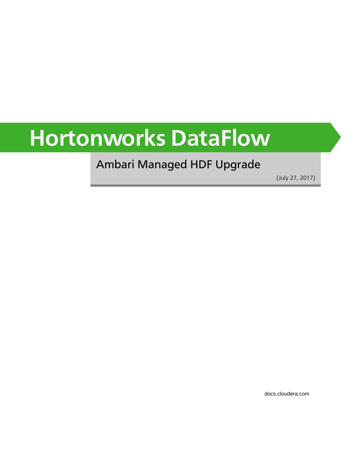# **Hortonworks DataFlow**

### Ambari Managed HDF Upgrade

(July 27, 2017)

[docs.cloudera.com](http://docs.cloudera.com)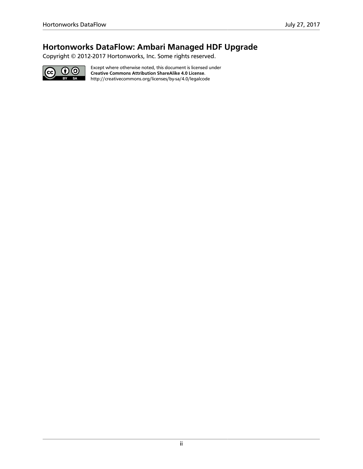### **Hortonworks DataFlow: Ambari Managed HDF Upgrade**

Copyright © 2012-2017 Hortonworks, Inc. Some rights reserved.



Except where otherwise noted, this document is licensed under **[Creative Commons Attribution ShareAlike 4.0 License](http://creativecommons.org/licenses/by-sa/4.0/legalcode)**. <http://creativecommons.org/licenses/by-sa/4.0/legalcode>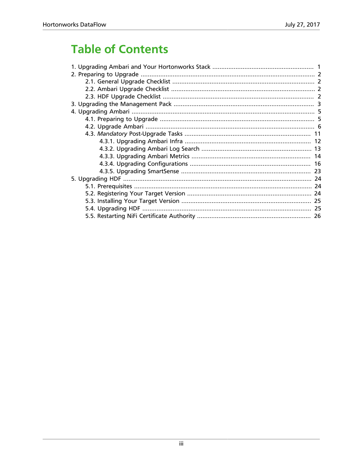# **Table of Contents**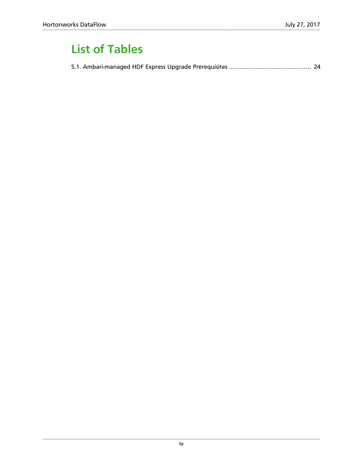# **List of Tables**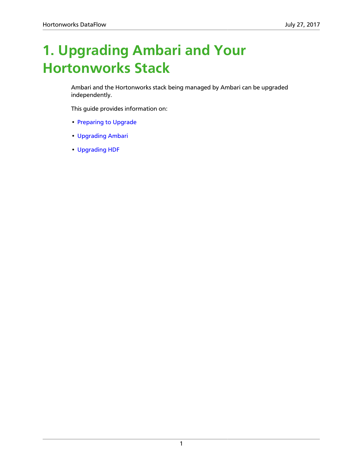# <span id="page-4-0"></span>**1. Upgrading Ambari and Your Hortonworks Stack**

Ambari and the Hortonworks stack being managed by Ambari can be upgraded independently.

This guide provides information on:

- [Preparing to Upgrade](https://docs.hortonworks.com/HDPDocuments/HDF3/HDF-3.0.1/bk_ambari-upgrade/content/preparing-to-upgrade.html)
- [Upgrading Ambari](https://docs.hortonworks.com/HDPDocuments/HDF3/HDF-3.0.1/bk_ambari-upgrade/content/upgrading_ambari.html)
- [Upgrading HDF](https://docs.hortonworks.com/HDPDocuments/HDF3/HDF-3.0.1/bk_ambari-upgrade/content/ch_upgrade-hdf.html)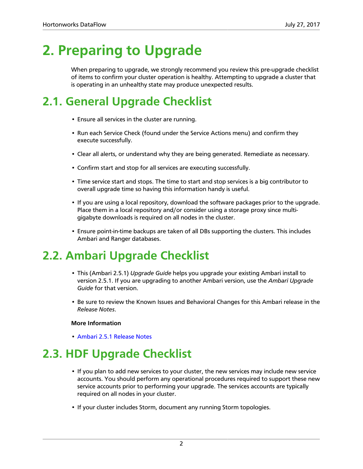# <span id="page-5-0"></span>**2. Preparing to Upgrade**

When preparing to upgrade, we strongly recommend you review this pre-upgrade checklist of items to confirm your cluster operation is healthy. Attempting to upgrade a cluster that is operating in an unhealthy state may produce unexpected results.

### <span id="page-5-1"></span>**2.1. General Upgrade Checklist**

- Ensure all services in the cluster are running.
- Run each Service Check (found under the Service Actions menu) and confirm they execute successfully.
- Clear all alerts, or understand why they are being generated. Remediate as necessary.
- Confirm start and stop for all services are executing successfully.
- Time service start and stops. The time to start and stop services is a big contributor to overall upgrade time so having this information handy is useful.
- If you are using a local repository, download the software packages prior to the upgrade. Place them in a local repository and/or consider using a storage proxy since multigigabyte downloads is required on all nodes in the cluster.
- Ensure point-in-time backups are taken of all DBs supporting the clusters. This includes Ambari and Ranger databases.

### <span id="page-5-2"></span>**2.2. Ambari Upgrade Checklist**

- This (Ambari 2.5.1) *Upgrade Guide* helps you upgrade your existing Ambari install to version 2.5.1. If you are upgrading to another Ambari version, use the *Ambari Upgrade Guide* for that version.
- Be sure to review the Known Issues and Behavioral Changes for this Ambari release in the *Release Notes*.

#### **More Information**

• [Ambari 2.5.1 Release Notes](https://docs.hortonworks.com/HDPDocuments/Ambari-2.5.1.0/bk_ambari-release-notes/content/ch_relnotes-ambari-2.5.1.0.html)

# <span id="page-5-3"></span>**2.3. HDF Upgrade Checklist**

- If you plan to add new services to your cluster, the new services may include new service accounts. You should perform any operational procedures required to support these new service accounts prior to performing your upgrade. The services accounts are typically required on all nodes in your cluster.
- If your cluster includes Storm, document any running Storm topologies.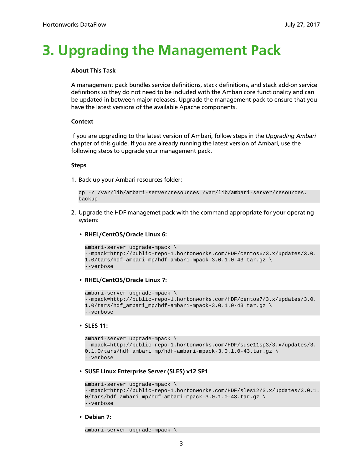# <span id="page-6-0"></span>**3. Upgrading the Management Pack**

#### **About This Task**

A management pack bundles service definitions, stack definitions, and stack add-on service definitions so they do not need to be included with the Ambari core functionality and can be updated in between major releases. Upgrade the management pack to ensure that you have the latest versions of the available Apache components.

#### **Context**

If you are upgrading to the latest version of Ambari, follow steps in the *Upgrading Ambari* chapter of this guide. If you are already running the latest version of Ambari, use the following steps to upgrade your management pack.

#### **Steps**

1. Back up your Ambari resources folder:

```
cp -r /var/lib/ambari-server/resources /var/lib/ambari-server/resources.
backup
```
- 2. Upgrade the HDF managemet pack with the command appropriate for your operating system:
	- **RHEL/CentOS/Oracle Linux 6:**

```
ambari-server upgrade-mpack \
--mpack=http://public-repo-1.hortonworks.com/HDF/centos6/3.x/updates/3.0.
1.0/tars/hdf_ambari_mp/hdf-ambari-mpack-3.0.1.0-43.tar.gz \ 
--verbose
```
• **RHEL/CentOS/Oracle Linux 7:**

```
ambari-server upgrade-mpack \
--mpack=http://public-repo-1.hortonworks.com/HDF/centos7/3.x/updates/3.0.
1.0/tars/hdf_ambari_mp/hdf-ambari-mpack-3.0.1.0-43.tar.gz \ 
--verbose
```
#### • **SLES 11:**

```
ambari-server upgrade-mpack \
--mpack=http://public-repo-1.hortonworks.com/HDF/suse11sp3/3.x/updates/3.
0.1.0/\text{tars/hdf\_ambari\_mp/hdf-ambari-mpack-3.0.1.0-43.tar.gz}--verbose
```
#### • **SUSE Linux Enterprise Server (SLES) v12 SP1**

```
ambari-server upgrade-mpack \
--mpack=http://public-repo-1.hortonworks.com/HDF/sles12/3.x/updates/3.0.1.
0/tars/hdf_ambari_mp/hdf-ambari-mpack-3.0.1.0-43.tar.gz \ 
--verbose
```
• **Debian 7:**

```
ambari-server upgrade-mpack \
```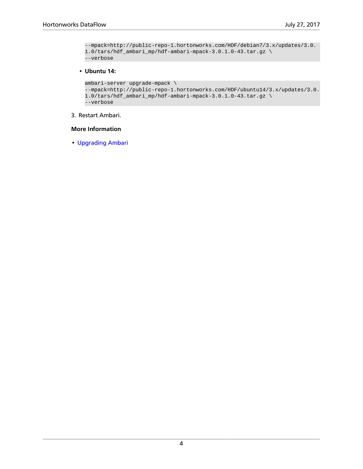```
--mpack=http://public-repo-1.hortonworks.com/HDF/debian7/3.x/updates/3.0.
1.0/\text{tars/hdf\_ambari\_mp/hdf-ambari-mpack-3.0.1.0-43.tar.gz} \setminus--verbose
```
#### • **Ubuntu 14:**

```
ambari-server upgrade-mpack \
--mpack=http://public-repo-1.hortonworks.com/HDF/ubuntu14/3.x/updates/3.0.
1.0/tars/hdf_ambari_mp/hdf-ambari-mpack-3.0.1.0-43.tar.gz \ 
--verbose
```
#### 3. Restart Ambari.

#### **More Information**

• [Upgrading Ambari](https://docs.hortonworks.com/HDPDocuments/HDF3/HDF-3.0.1/bk_ambari-upgrade/content/upgrading_ambari.html)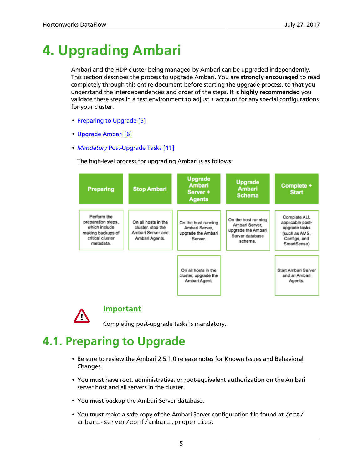# <span id="page-8-0"></span>**4. Upgrading Ambari**

Ambari and the HDP cluster being managed by Ambari can be upgraded independently. This section describes the process to upgrade Ambari. You are **strongly encouraged** to read completely through this entire document before starting the upgrade process, to that you understand the interdependencies and order of the steps. It is **highly recommended** you validate these steps in a test environment to adjust + account for any special configurations for your cluster.

- [Preparing to Upgrade \[5\]](#page-8-1)
- [Upgrade Ambari \[6\]](#page-9-0)
- *Mandatory* [Post-Upgrade Tasks \[11\]](#page-14-0)

The high-level process for upgrading Ambari is as follows:





**Important**

Completing post-upgrade tasks is mandatory.

### <span id="page-8-1"></span>**4.1. Preparing to Upgrade**

- Be sure to review the Ambari 2.5.1.0 release notes for Known Issues and Behavioral Changes.
- You **must** have root, administrative, or root-equivalent authorization on the Ambari server host and all servers in the cluster.
- You **must** backup the Ambari Server database.
- You **must** make a safe copy of the Ambari Server configuration file found at /etc/ ambari-server/conf/ambari.properties.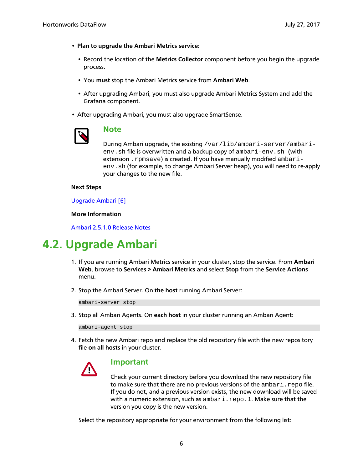- **Plan to upgrade the Ambari Metrics service:**
	- Record the location of the **Metrics Collector** component before you begin the upgrade process.
	- You **must** stop the Ambari Metrics service from **Ambari Web**.
	- After upgrading Ambari, you must also upgrade Ambari Metrics System and add the Grafana component.
- After upgrading Ambari, you must also upgrade SmartSense.



#### **Note**

During Ambari upgrade, the existing /var/lib/ambari-server/ambarienv.sh file is overwritten and a backup copy of ambari-env.sh (with extension . rpmsave) is created. If you have manually modified ambarienv.sh (for example, to change Ambari Server heap), you will need to re-apply your changes to the new file.

#### **Next Steps**

[Upgrade Ambari \[6\]](#page-9-0)

#### **More Information**

[Ambari 2.5.1.0 Release Notes](https://docs.hortonworks.com/HDPDocuments/Ambari-2.5.1.0/bk_ambari-release-notes/content/ch_relnotes-ambari-2.5.1.0.html)

### <span id="page-9-0"></span>**4.2. Upgrade Ambari**

- 1. If you are running Ambari Metrics service in your cluster, stop the service. From **Ambari Web**, browse to **Services > Ambari Metrics** and select **Stop** from the **Service Actions** menu.
- 2. Stop the Ambari Server. On **the host** running Ambari Server:

ambari-server stop

3. Stop all Ambari Agents. On **each host** in your cluster running an Ambari Agent:

ambari-agent stop

4. Fetch the new Ambari repo and replace the old repository file with the new repository file **on all hosts** in your cluster.



#### **Important**

Check your current directory before you download the new repository file to make sure that there are no previous versions of the ambari.repo file. If you do not, and a previous version exists, the new download will be saved with a numeric extension, such as ambari.repo.1. Make sure that the version you copy is the new version.

Select the repository appropriate for your environment from the following list: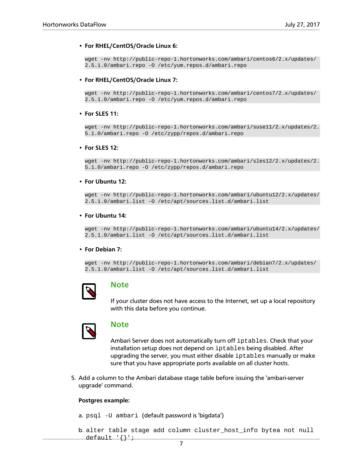#### • **For RHEL/CentOS/Oracle Linux 6:**

```
wget -nv http://public-repo-1.hortonworks.com/ambari/centos6/2.x/updates/
2.5.1.0/ambari.repo -O /etc/yum.repos.d/ambari.repo
```
#### • **For RHEL/CentOS/Oracle Linux 7:**

wget -nv http://public-repo-1.hortonworks.com/ambari/centos7/2.x/updates/ 2.5.1.0/ambari.repo -O /etc/yum.repos.d/ambari.repo

#### • **For SLES 11:**

wget -nv http://public-repo-1.hortonworks.com/ambari/suse11/2.x/updates/2. 5.1.0/ambari.repo -O /etc/zypp/repos.d/ambari.repo

#### • **For SLES 12:**

wget -nv http://public-repo-1.hortonworks.com/ambari/sles12/2.x/updates/2. 5.1.0/ambari.repo -O /etc/zypp/repos.d/ambari.repo

#### • **For Ubuntu 12:**

wget -nv http://public-repo-1.hortonworks.com/ambari/ubuntu12/2.x/updates/ 2.5.1.0/ambari.list -O /etc/apt/sources.list.d/ambari.list

#### • **For Ubuntu 14:**

wget -nv http://public-repo-1.hortonworks.com/ambari/ubuntu14/2.x/updates/ 2.5.1.0/ambari.list -O /etc/apt/sources.list.d/ambari.list

#### • **For Debian 7:**

wget -nv http://public-repo-1.hortonworks.com/ambari/debian7/2.x/updates/ 2.5.1.0/ambari.list -O /etc/apt/sources.list.d/ambari.list



#### **Note**

If your cluster does not have access to the Internet, set up a local repository with this data before you continue.



#### **Note**

Ambari Server does not automatically turn off iptables. Check that your installation setup does not depend on iptables being disabled. After upgrading the server, you must either disable iptables manually or make sure that you have appropriate ports available on all cluster hosts.

5. Add a column to the Ambari database stage table before issuing the 'ambari-server upgrade' command.

#### **Postgres example:**

```
a. psql -U ambari (default password is 'bigdata')
```

```
b. alter table stage add column cluster_host_info bytea not null
 default \{\}';
```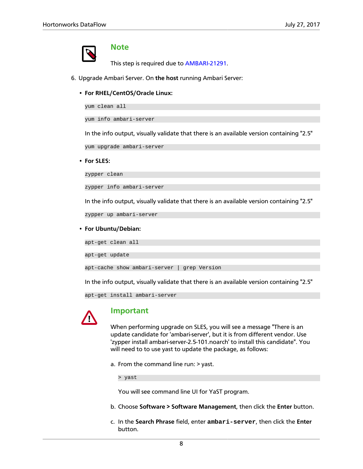

#### **Note**

This step is required due to [AMBARI-21291](https://issues.apache.org/jira/browse/AMBARI-21291).

- 6. Upgrade Ambari Server. On **the host** running Ambari Server:
	- **For RHEL/CentOS/Oracle Linux:**

yum clean all

yum info ambari-server

In the info output, visually validate that there is an available version containing "2.5"

yum upgrade ambari-server

• **For SLES:**

zypper clean

zypper info ambari-server

In the info output, visually validate that there is an available version containing "2.5"

zypper up ambari-server

#### • **For Ubuntu/Debian:**

apt-get clean all

apt-get update

apt-cache show ambari-server | grep Version

In the info output, visually validate that there is an available version containing "2.5"

apt-get install ambari-server



#### **Important**

When performing upgrade on SLES, you will see a message "There is an update candidate for 'ambari-server', but it is from different vendor. Use 'zypper install ambari-server-2.5-101.noarch' to install this candidate". You will need to to use yast to update the package, as follows:

a. From the command line run: > yast.

> yast

You will see command line UI for YaST program.

- b. Choose **Software > Software Management**, then click the **Enter** button.
- c. In the **Search Phrase** field, enter **ambari-server**, then click the **Enter** button.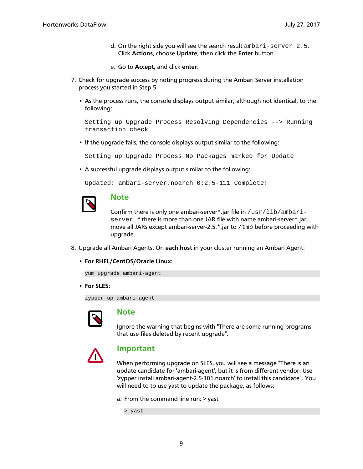- d. On the right side you will see the search result ambari-server 2.5. Click **Actions**, choose **Update**, then click the **Enter** button.
- e. Go to **Accept**, and click **enter**.
- 7. Check for upgrade success by noting progress during the Ambari Server installation process you started in Step 5.
	- As the process runs, the console displays output similar, although not identical, to the following:

Setting up Upgrade Process Resolving Dependencies --> Running transaction check

• If the upgrade fails, the console displays output similar to the following:

Setting up Upgrade Process No Packages marked for Update

• A successful upgrade displays output similar to the following:

```
Updated: ambari-server.noarch 0:2.5-111 Complete!
```


#### **Note**

Confirm there is only one ambari-server\*.jar file in  $/\text{usr}/\text{lib}/\text{ambari}$ server. If there is more than one JAR file with name ambari-server\*.jar, move all JARs except ambari-server-2.5.\*.jar to /tmp before proceeding with upgrade.

- 8. Upgrade all Ambari Agents. On **each host** in your cluster running an Ambari Agent:
	- **For RHEL/CentOS/Oracle Linux:**

yum upgrade ambari-agent

• **For SLES:**

zypper up ambari-agent



#### **Note**

Ignore the warning that begins with "There are some running programs that use files deleted by recent upgrade".



#### **Important**

When performing upgrade on SLES, you will see a message "There is an update candidate for 'ambari-agent', but it is from different vendor. Use 'zypper install ambari-agent-2.5-101.noarch' to install this candidate". You will need to to use yast to update the package, as follows:

a. From the command line run: > yast

> yast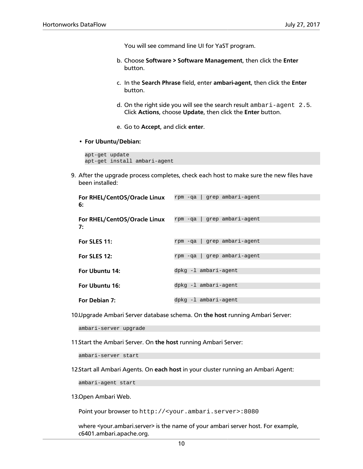You will see command line UI for YaST program.

- b. Choose **Software > Software Management**, then click the **Enter** button.
- c. In the **Search Phrase** field, enter **ambari-agent**, then click the **Enter** button.
- d. On the right side you will see the search result ambari-agent 2.5. Click **Actions**, choose **Update**, then click the **Enter** button.
- e. Go to **Accept**, and click **enter**.
- **For Ubuntu/Debian:**

```
apt-get update
apt-get install ambari-agent
```
9. After the upgrade process completes, check each host to make sure the new files have been installed:

| For RHEL/CentOS/Oracle Linux | grep ambari-agent<br>rpm -qa |
|------------------------------|------------------------------|
| 6:                           |                              |
| For RHEL/CentOS/Oracle Linux | grep ambari-agent<br>rpm -qa |
| 7:                           |                              |
| For SLES 11:                 | grep ambari-agent<br>rpm -qa |
|                              |                              |
| For SLES 12:                 | grep ambari-agent<br>rpm -qa |
|                              |                              |
| For Ubuntu 14:               | dpkg -1 ambari-agent         |
|                              |                              |
| For Ubuntu 16:               | dpkg -1 ambari-agent         |
|                              |                              |
| For Debian 7:                | dpkg -1 ambari-agent         |

10.Upgrade Ambari Server database schema. On **the host** running Ambari Server:

ambari-server upgrade

11.Start the Ambari Server. On **the host** running Ambari Server:

ambari-server start

12.Start all Ambari Agents. On **each host** in your cluster running an Ambari Agent:

ambari-agent start

13.Open Ambari Web.

Point your browser to http://<your.ambari.server>:8080

where <your.ambari.server> is the name of your ambari server host. For example, c6401.ambari.apache.org.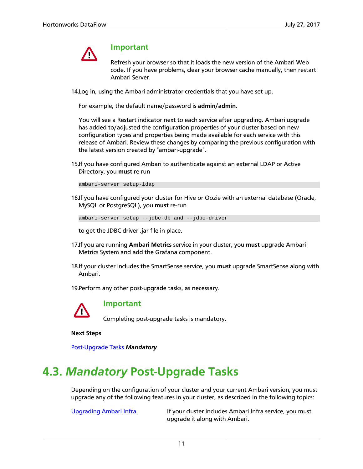

#### **Important**

Refresh your browser so that it loads the new version of the Ambari Web code. If you have problems, clear your browser cache manually, then restart Ambari Server.

14.Log in, using the Ambari administrator credentials that you have set up.

For example, the default name/password is **admin/admin**.

You will see a Restart indicator next to each service after upgrading. Ambari upgrade has added to/adjusted the configuration properties of your cluster based on new configuration types and properties being made available for each service with this release of Ambari. Review these changes by comparing the previous configuration with the latest version created by "ambari-upgrade".

15.If you have configured Ambari to authenticate against an external LDAP or Active Directory, you **must** re-run

ambari-server setup-ldap

16.If you have configured your cluster for Hive or Oozie with an external database (Oracle, MySQL or PostgreSQL), you **must** re-run

```
ambari-server setup --jdbc-db and --jdbc-driver
```
to get the JDBC driver .jar file in place.

- 17.If you are running **Ambari Metrics** service in your cluster, you **must** upgrade Ambari Metrics System and add the Grafana component.
- 18.If your cluster includes the SmartSense service, you **must** upgrade SmartSense along with Ambari.

19.Perform any other post-upgrade tasks, as necessary.



#### **Important**

Completing post-upgrade tasks is mandatory.

**Next Steps**

[Post-Upgrade Tasks](https://docs.hortonworks.com/HDPDocuments/Ambari-2.5.1.0/bk_ambari-upgrade/content/post_ambari_upgrade_tasks.html) *Mandatory*

### <span id="page-14-0"></span>**4.3.** *Mandatory* **Post-Upgrade Tasks**

Depending on the configuration of your cluster and your current Ambari version, you must upgrade any of the following features in your cluster, as described in the following topics:

[Upgrading Ambari Infra](#page-15-0) If your cluster includes Ambari Infra service, you must upgrade it along with Ambari.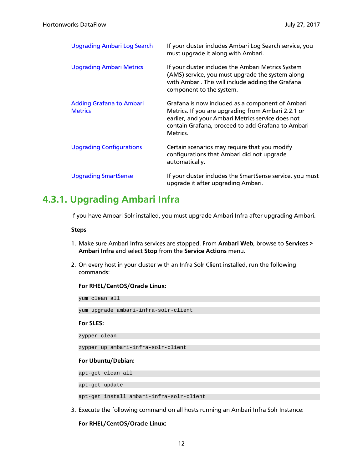| <b>Upgrading Ambari Log Search</b>                | If your cluster includes Ambari Log Search service, you<br>must upgrade it along with Ambari.                                                                                                                                |
|---------------------------------------------------|------------------------------------------------------------------------------------------------------------------------------------------------------------------------------------------------------------------------------|
| <b>Upgrading Ambari Metrics</b>                   | If your cluster includes the Ambari Metrics System<br>(AMS) service, you must upgrade the system along<br>with Ambari. This will include adding the Grafana<br>component to the system.                                      |
| <b>Adding Grafana to Ambari</b><br><b>Metrics</b> | Grafana is now included as a component of Ambari<br>Metrics. If you are upgrading from Ambari 2.2.1 or<br>earlier, and your Ambari Metrics service does not<br>contain Grafana, proceed to add Grafana to Ambari<br>Metrics. |
| <b>Upgrading Configurations</b>                   | Certain scenarios may require that you modify<br>configurations that Ambari did not upgrade<br>automatically.                                                                                                                |
| <b>Upgrading SmartSense</b>                       | If your cluster includes the SmartSense service, you must<br>upgrade it after upgrading Ambari.                                                                                                                              |

### <span id="page-15-0"></span>**4.3.1. Upgrading Ambari Infra**

If you have Ambari Solr installed, you must upgrade Ambari Infra after upgrading Ambari.

**Steps**

- 1. Make sure Ambari Infra services are stopped. From **Ambari Web**, browse to **Services > Ambari Infra** and select **Stop** from the **Service Actions** menu.
- 2. On every host in your cluster with an Infra Solr Client installed, run the following commands:

#### **For RHEL/CentOS/Oracle Linux:**

yum clean all

yum upgrade ambari-infra-solr-client

#### **For SLES:**

zypper clean

zypper up ambari-infra-solr-client

#### **For Ubuntu/Debian:**

apt-get clean all

apt-get update

apt-get install ambari-infra-solr-client

3. Execute the following command on all hosts running an Ambari Infra Solr Instance:

**For RHEL/CentOS/Oracle Linux:**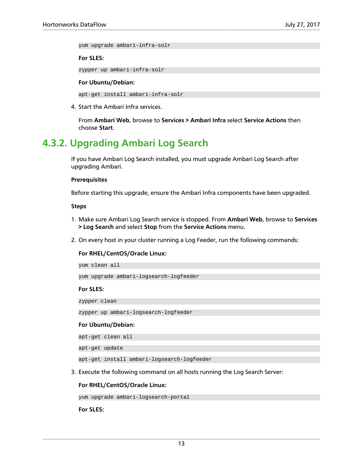yum upgrade ambari-infra-solr

#### **For SLES:**

zypper up ambari-infra-solr

#### **For Ubuntu/Debian:**

apt-get install ambari-infra-solr

4. Start the Ambari Infra services.

From **Ambari Web**, browse to **Services > Ambari Infra** select **Service Actions** then choose **Start**.

### <span id="page-16-0"></span>**4.3.2. Upgrading Ambari Log Search**

If you have Ambari Log Search installed, you must upgrade Ambari Log Search after upgrading Ambari.

#### **Prerequisites**

Before starting this upgrade, ensure the Ambari Infra components have been upgraded.

#### **Steps**

- 1. Make sure Ambari Log Search service is stopped. From **Ambari Web**, browse to **Services > Log Search** and select **Stop** from the **Service Actions** menu.
- 2. On every host in your cluster running a Log Feeder, run the following commands:

#### **For RHEL/CentOS/Oracle Linux:**

yum upgrade ambari-logsearch-logfeeder

#### **For SLES:**

zypper clean

yum clean all

zypper up ambari-logsearch-logfeeder

#### **For Ubuntu/Debian:**

apt-get clean all

apt-get update

apt-get install ambari-logsearch-logfeeder

3. Execute the following command on all hosts running the Log Search Server:

#### **For RHEL/CentOS/Oracle Linux:**

yum upgrade ambari-logsearch-portal

**For SLES:**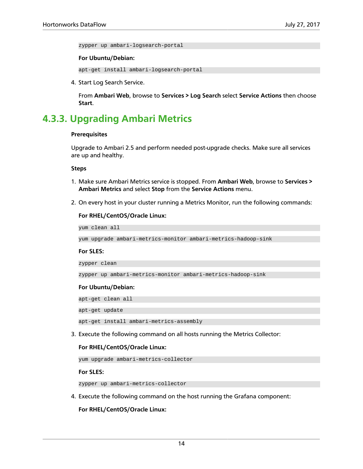zypper up ambari-logsearch-portal

#### **For Ubuntu/Debian:**

apt-get install ambari-logsearch-portal

4. Start Log Search Service.

From **Ambari Web**, browse to **Services > Log Search** select **Service Actions** then choose **Start**.

### <span id="page-17-0"></span>**4.3.3. Upgrading Ambari Metrics**

#### **Prerequisites**

Upgrade to Ambari 2.5 and perform needed post-upgrade checks. Make sure all services are up and healthy.

#### **Steps**

- 1. Make sure Ambari Metrics service is stopped. From **Ambari Web**, browse to **Services > Ambari Metrics** and select **Stop** from the **Service Actions** menu.
- 2. On every host in your cluster running a Metrics Monitor, run the following commands:

#### **For RHEL/CentOS/Oracle Linux:**

yum clean all

yum upgrade ambari-metrics-monitor ambari-metrics-hadoop-sink

#### **For SLES:**

zypper clean

```
zypper up ambari-metrics-monitor ambari-metrics-hadoop-sink
```
#### **For Ubuntu/Debian:**

apt-get clean all

apt-get update

apt-get install ambari-metrics-assembly

3. Execute the following command on all hosts running the Metrics Collector:

#### **For RHEL/CentOS/Oracle Linux:**

yum upgrade ambari-metrics-collector

**For SLES:**

zypper up ambari-metrics-collector

4. Execute the following command on the host running the Grafana component:

**For RHEL/CentOS/Oracle Linux:**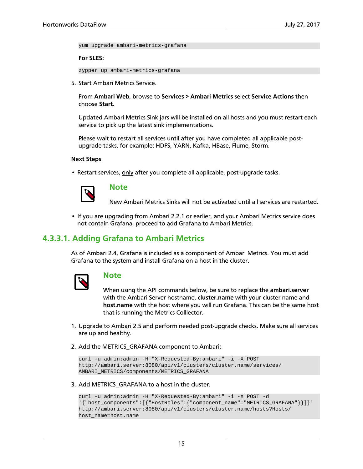yum upgrade ambari-metrics-grafana

**For SLES:**

zypper up ambari-metrics-grafana

5. Start Ambari Metrics Service.

From **Ambari Web**, browse to **Services > Ambari Metrics** select **Service Actions** then choose **Start**.

Updated Ambari Metrics Sink jars will be installed on all hosts and you must restart each service to pick up the latest sink implementations.

Please wait to restart all services until after you have completed all applicable postupgrade tasks, for example: HDFS, YARN, Kafka, HBase, Flume, Storm.

#### **Next Steps**

• Restart services, only after you complete all applicable, post-upgrade tasks.



#### **Note**

New Ambari Metrics Sinks will not be activated until all services are restarted.

• If you are upgrading from Ambari 2.2.1 or earlier, and your Ambari Metrics service does not contain Grafana, proceed to add Grafana to Ambari Metrics.

#### <span id="page-18-0"></span>**4.3.3.1. Adding Grafana to Ambari Metrics**

As of Ambari 2.4, Grafana is included as a component of Ambari Metrics. You must add Grafana to the system and install Grafana on a host in the cluster.



#### **Note**

When using the API commands below, be sure to replace the **ambari.server** with the Ambari Server hostname, **cluster.name** with your cluster name and **host.name** with the host where you will run Grafana. This can be the same host that is running the Metrics Colllector.

- 1. Upgrade to Ambari 2.5 and perform needed post-upgrade checks. Make sure all services are up and healthy.
- 2. Add the METRICS\_GRAFANA component to Ambari:

```
curl -u admin:admin -H "X-Requested-By:ambari" -i -X POST
http://ambari.server:8080/api/v1/clusters/cluster.name/services/
AMBARI_METRICS/components/METRICS_GRAFANA
```
3. Add METRICS\_GRAFANA to a host in the cluster.

```
curl -u admin:admin -H "X-Requested-By:ambari" -i -X POST -d
'{"host_components":[{"HostRoles":{"component_name":"METRICS_GRAFANA"}}]}'
http://ambari.server:8080/api/v1/clusters/cluster.name/hosts?Hosts/
host_name=host.name
```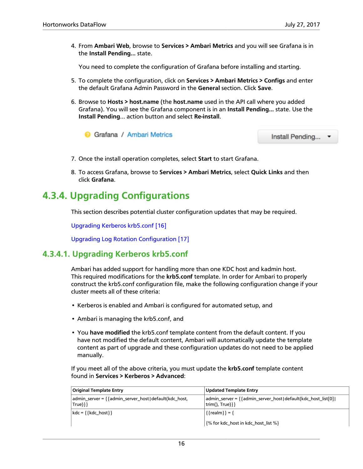4. From **Ambari Web**, browse to **Services > Ambari Metrics** and you will see Grafana is in the **Install Pending…** state.

You need to complete the configuration of Grafana before installing and starting.

- 5. To complete the configuration, click on **Services > Ambari Metrics > Configs** and enter the default Grafana Admin Password in the **General** section. Click **Save**.
- 6. Browse to **Hosts > host.name** (the **host.name** used in the API call where you added Grafana). You will see the Grafana component is in an **Install Pending…** state. Use the **Install Pending**… action button and select **Re-install**.



Install Pending... •

- 7. Once the install operation completes, select **Start** to start Grafana.
- 8. To access Grafana, browse to **Services > Ambari Metrics**, select **Quick Links** and then click **Grafana**.

### <span id="page-19-0"></span>**4.3.4. Upgrading Configurations**

This section describes potential cluster configuration updates that may be required.

[Upgrading Kerberos krb5.conf \[16\]](#page-19-1)

[Upgrading Log Rotation Configuration \[17\]](#page-20-0)

### <span id="page-19-1"></span>**4.3.4.1. Upgrading Kerberos krb5.conf**

Ambari has added support for handling more than one KDC host and kadmin host. This required modifications for the **krb5.conf** template. In order for Ambari to properly construct the krb5.conf configuration file, make the following configuration change if your cluster meets all of these criteria:

- Kerberos is enabled and Ambari is configured for automated setup, and
- Ambari is managing the krb5.conf, and
- You **have modified** the krb5.conf template content from the default content. If you have not modified the default content, Ambari will automatically update the template content as part of upgrade and these configuration updates do not need to be applied manually.

If you meet all of the above criteria, you must update the **krb5.conf** template content found in **Services > Kerberos > Advanced**:

| <b>Original Template Entry</b>                                         | Updated Template Entry                                                                  |
|------------------------------------------------------------------------|-----------------------------------------------------------------------------------------|
| admin_server = { { admin_server_host   default (kdc_host,<br>$True$ }} | admin_server = { { admin_server_host   default(kdc_host_list[0]  <br>trim(), $True$ }}} |
| kdc = { { kdc_host } }                                                 | $\{ \{ \text{realm} \} \} = \{$                                                         |
|                                                                        | {% for kdc_host in kdc_host_list %}                                                     |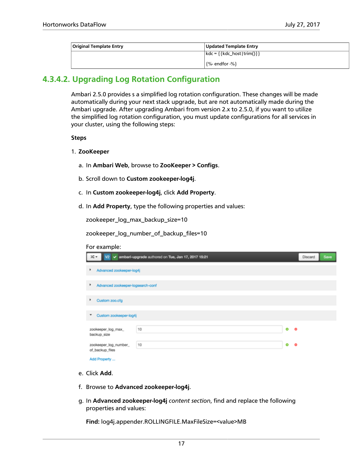| Original Template Entry | Updated Template Entry                 |
|-------------------------|----------------------------------------|
|                         | $\{kdc = \{\{kdc\_host   trim()\}\}\}$ |
|                         | $\frac{1}{2}$ {%- endfor -%}           |

### <span id="page-20-0"></span>**4.3.4.2. Upgrading Log Rotation Configuration**

Ambari 2.5.0 provides s a simplified log rotation configuration. These changes will be made automatically during your next stack upgrade, but are not automatically made during the Ambari upgrade. After upgrading Ambari from version 2.x to 2.5.0, if you want to utilize the simplified log rotation configuration, you must update configurations for all services in your cluster, using the following steps:

#### **Steps**

#### 1. **ZooKeeper**

- a. In **Ambari Web**, browse to **ZooKeeper > Configs**.
- b. Scroll down to **Custom zookeeper-log4j**.
- c. In **Custom zookeeper-log4j**, click **Add Property**.
- d. In **Add Property**, type the following properties and values:

zookeeper\_log\_max\_backup\_size=10

zookeeper\_log\_number\_of\_backup\_files=10

| For example:                             |                                                         |                |         |      |  |  |
|------------------------------------------|---------------------------------------------------------|----------------|---------|------|--|--|
| ×.                                       | V2 v ambari-upgrade authored on Tue, Jan 17, 2017 15:21 |                | Discard | Save |  |  |
| Advanced zookeeper-log4j<br>٠            |                                                         |                |         |      |  |  |
| Advanced zookeeper-logsearch-conf<br>٠   |                                                         |                |         |      |  |  |
| Custom zoo.cfg<br>٠                      |                                                         |                |         |      |  |  |
| Custom zookeeper-log4j<br>٠              |                                                         |                |         |      |  |  |
| zookeeper_log_max_<br>backup_size        | 10                                                      | $\bullet$<br>۰ |         |      |  |  |
| zookeeper_log_number_<br>of_backup_files | 10                                                      | ۰<br>۰         |         |      |  |  |
| Add Property                             |                                                         |                |         |      |  |  |

- e. Click **Add**.
- f. Browse to **Advanced zookeeper-log4j**.
- g. In **Advanced zookeeper-log4j** *content section*, find and replace the following properties and values:

**Find:** log4j.appender.ROLLINGFILE.MaxFileSize=<value>MB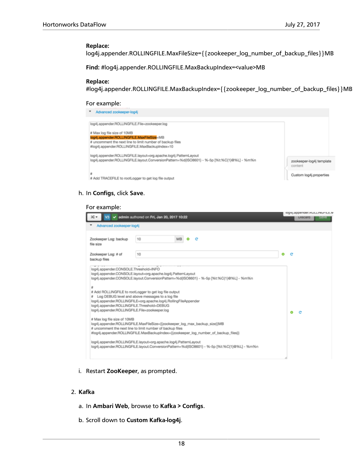#### **Replace:**

log4j.appender.ROLLINGFILE.MaxFileSize={{zookeeper\_log\_number\_of\_backup\_files}}MB

**Find:** #log4j.appender.ROLLINGFILE.MaxBackupIndex=<value>MB

#### **Replace:**

#log4j.appender.ROLLINGFILE.MaxBackupIndex={{zookeeper\_log\_number\_of\_backup\_files}}MB

#### For example:

| Advanced zookeeper-log4j                                                                                                                                                                                                                |                                                                |
|-----------------------------------------------------------------------------------------------------------------------------------------------------------------------------------------------------------------------------------------|----------------------------------------------------------------|
| log4j.appender.ROLLINGFILE.File=zookeeper.log<br># Max log file size of 10MB<br>log4j.appender.ROLLINGFILE.MaxFileSize=MB<br># uncomment the next line to limit number of backup files<br>#log4j.appender.ROLLINGFILE.MaxBackupIndex=10 |                                                                |
| log4j.appender.ROLLINGFILE.layout=org.apache.log4j.PatternLayout<br>log4j.appender.ROLLINGFILE.layout.ConversionPattern=%d(ISO8601) - %-5p [%t:%C(1)@%L] - %m%n                                                                         | zookeeper-log4j template<br>content<br>Custom log4j.properties |
| # Add TRACEFILE to rootLogger to get log file output                                                                                                                                                                                    |                                                                |

#### h. In **Configs**, click **Save**.

#### For example:

| x.<br>V3                                                                                                                                                                 | d admin authored on Fri, Jan 20, 2017 10:22                                                                                                                                                                                                                                                                                                                                                                                                                                                                                                                                                                                                                                                                                                   |   |   | <b>LISCERD</b> | rog4j.appenger.wut.t.rwut-iLE.<br><b>Save</b> |
|--------------------------------------------------------------------------------------------------------------------------------------------------------------------------|-----------------------------------------------------------------------------------------------------------------------------------------------------------------------------------------------------------------------------------------------------------------------------------------------------------------------------------------------------------------------------------------------------------------------------------------------------------------------------------------------------------------------------------------------------------------------------------------------------------------------------------------------------------------------------------------------------------------------------------------------|---|---|----------------|-----------------------------------------------|
| Advanced zookeeper-loo4i                                                                                                                                                 |                                                                                                                                                                                                                                                                                                                                                                                                                                                                                                                                                                                                                                                                                                                                               |   |   |                |                                               |
| Zookeeper Log: backup<br>file size                                                                                                                                       | 10<br><b>MB</b>                                                                                                                                                                                                                                                                                                                                                                                                                                                                                                                                                                                                                                                                                                                               |   |   |                |                                               |
| Zookeeper Log: # of<br>backup files                                                                                                                                      | 10                                                                                                                                                                                                                                                                                                                                                                                                                                                                                                                                                                                                                                                                                                                                            | Ō | e |                |                                               |
| log4j.appender.CONSOLE.Threshold=INFO<br>۰<br>log4i.appender.ROLLINGFILE.Threshold=DEBUG<br>log4j.appender.ROLLINGFILE.File=zookeeper.log<br># Max log file size of 10MB | log4j.appender.CONSOLE.layout=org.apache.log4j.PatternLayout<br>log4j.appender.CONSOLE.layout.ConversionPattern=%d(ISO8601) - %-5p (%t:%C(1)@%L] - %m%n<br># Add ROLLINGFILE to rootLogger to get log file output<br>Log DEBUG level and above messages to a log file<br>log4j.appender.ROLLINGFILE=org.apache.log4j.RollingFileAppender<br>log4j.appender.ROLLINGFILE.MaxFileSize={(zookeeper_log_max_backup_size}}MB<br># uncomment the next line to limit number of backup files<br>#log4j.appender.ROLLINGFILE.MaxBackupIndex={{zookeeper_log_number_of_backup_files}}<br>log4j.appender.ROLLINGFILE.layout=org.apache.log4j.PatternLayout<br>log4j.appender.ROLLINGFILE.layout.ConversionPattern=%d(ISO8601) - %-5p [%t:%C(1)@%L] - %m%n |   | ۵ |                |                                               |

i. Restart **ZooKeeper**, as prompted.

#### 2. **Kafka**

- a. In **Ambari Web**, browse to **Kafka > Configs**.
- b. Scroll down to **Custom Kafka-log4j**.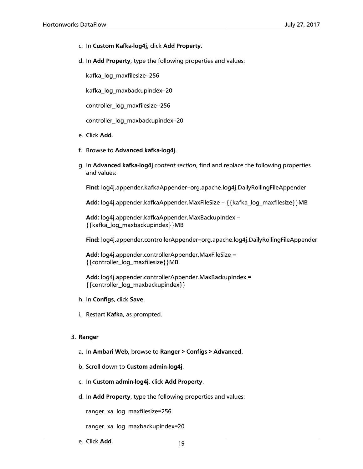- c. In **Custom Kafka-log4j**, click **Add Property**.
- d. In **Add Property**, type the following properties and values:

kafka\_log\_maxfilesize=256

kafka\_log\_maxbackupindex=20

controller\_log\_maxfilesize=256

controller\_log\_maxbackupindex=20

- e. Click **Add**.
- f. Browse to **Advanced kafka-log4j**.
- g. In **Advanced kafka-log4j** *content section*, find and replace the following properties and values:

**Find:** log4j.appender.kafkaAppender=org.apache.log4j.DailyRollingFileAppender

Add: log4j.appender.kafkaAppender.MaxFileSize = {{kafka\_log\_maxfilesize}}MB

**Add:** log4j.appender.kafkaAppender.MaxBackupIndex = {{kafka\_log\_maxbackupindex}}MB

**Find:** log4j.appender.controllerAppender=org.apache.log4j.DailyRollingFileAppender

**Add:** log4j.appender.controllerAppender.MaxFileSize = {{controller\_log\_maxfilesize}}MB

**Add:** log4j.appender.controllerAppender.MaxBackupIndex = {{controller\_log\_maxbackupindex}}

- h. In **Configs**, click **Save**.
- i. Restart **Kafka**, as prompted.

#### 3. **Ranger**

- a. In **Ambari Web**, browse to **Ranger > Configs > Advanced**.
- b. Scroll down to **Custom admin-log4j**.
- c. In **Custom admin-log4j**, click **Add Property**.
- d. In **Add Property**, type the following properties and values:

ranger\_xa\_log\_maxfilesize=256

ranger\_xa\_log\_maxbackupindex=20

e. Click **Add**.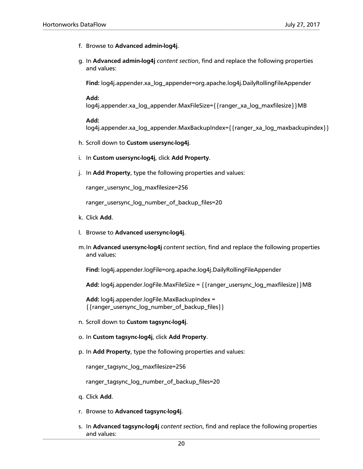- f. Browse to **Advanced admin-log4j**.
- g. In **Advanced admin-log4j** *content section*, find and replace the following properties and values:

**Find:** log4j.appender.xa\_log\_appender=org.apache.log4j.DailyRollingFileAppender

#### **Add:**

log4j.appender.xa\_log\_appender.MaxFileSize={{ranger\_xa\_log\_maxfilesize}}MB

#### **Add:**

log4j.appender.xa\_log\_appender.MaxBackupIndex={{ranger\_xa\_log\_maxbackupindex}}

- h. Scroll down to **Custom usersync-log4j**.
- i. In **Custom usersync-log4j**, click **Add Property**.
- j. In **Add Property**, type the following properties and values:

ranger\_usersync\_log\_maxfilesize=256

ranger\_usersync\_log\_number\_of\_backup\_files=20

- k. Click **Add**.
- l. Browse to **Advanced usersync-log4j**.
- m.In **Advanced usersync-log4j** *content section*, find and replace the following properties and values:

**Find:** log4j.appender.logFile=org.apache.log4j.DailyRollingFileAppender

**Add:** log4j.appender.logFile.MaxFileSize = {{ranger\_usersync\_log\_maxfilesize}}MB

**Add:** log4j.appender.logFile.MaxBackupIndex = {{ranger\_usersync\_log\_number\_of\_backup\_files}}

- n. Scroll down to **Custom tagsync-log4j**.
- o. In **Custom tagsync-log4j**, click **Add Property**.
- p. In **Add Property**, type the following properties and values:

ranger\_tagsync\_log\_maxfilesize=256

ranger\_tagsync\_log\_number\_of\_backup\_files=20

- q. Click **Add**.
- r. Browse to **Advanced tagsync-log4j**.
- s. In **Advanced tagsync-log4j** *content section*, find and replace the following properties and values: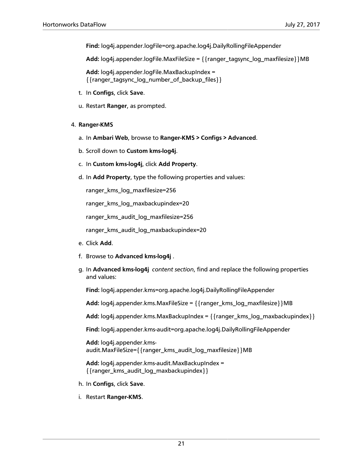**Find:** log4j.appender.logFile=org.apache.log4j.DailyRollingFileAppender

Add: log4j.appender.logFile.MaxFileSize = { {ranger\_tagsync\_log\_maxfilesize} } MB

**Add:** log4j.appender.logFile.MaxBackupIndex = {{ranger\_tagsync\_log\_number\_of\_backup\_files}}

- t. In **Configs**, click **Save**.
- u. Restart **Ranger**, as prompted.
- 4. **Ranger-KMS**
	- a. In **Ambari Web**, browse to **Ranger-KMS > Configs > Advanced**.
	- b. Scroll down to **Custom kms-log4j**.
	- c. In **Custom kms-log4j**, click **Add Property**.
	- d. In **Add Property**, type the following properties and values:

ranger\_kms\_log\_maxfilesize=256

ranger\_kms\_log\_maxbackupindex=20

ranger\_kms\_audit\_log\_maxfilesize=256

ranger\_kms\_audit\_log\_maxbackupindex=20

- e. Click **Add**.
- f. Browse to **Advanced kms-log4j** .
- g. In **Advanced kms-log4j** *content section*, find and replace the following properties and values:

**Find:** log4j.appender.kms=org.apache.log4j.DailyRollingFileAppender

Add: log4j.appender.kms.MaxFileSize = { {ranger\_kms\_log\_maxfilesize} } MB

**Add:** log4j.appender.kms.MaxBackupIndex = {{ranger\_kms\_log\_maxbackupindex}}

**Find:** log4j.appender.kms-audit=org.apache.log4j.DailyRollingFileAppender

**Add:** log4j.appender.kmsaudit.MaxFileSize={{ranger\_kms\_audit\_log\_maxfilesize}}MB

**Add:** log4j.appender.kms-audit.MaxBackupIndex = {{ranger\_kms\_audit\_log\_maxbackupindex}}

- h. In **Configs**, click **Save**.
- i. Restart **Ranger-KMS**.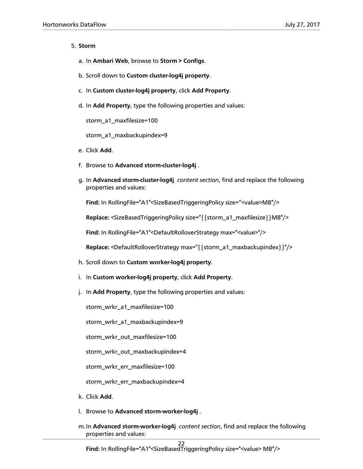#### 5. **Storm**

- a. In **Ambari Web**, browse to **Storm > Configs**.
- b. Scroll down to **Custom cluster-log4j property**.
- c. In **Custom cluster-log4j property**, click **Add Property**.
- d. In **Add Property**, type the following properties and values:

storm\_a1\_maxfilesize=100

storm\_a1\_maxbackupindex=9

- e. Click **Add**.
- f. Browse to **Advanced storm-cluster-log4j** .
- g. In **Advanced storm-cluster-log4j** *content section*, find and replace the following properties and values:

**Find:** In RollingFile="A1"<SizeBasedTriggeringPolicy size="<value>MB"/>

**Replace:** <SizeBasedTriggeringPolicy size="{{storm\_a1\_maxfilesize}}MB"/>

**Find:** In RollingFile="A1"<DefaultRolloverStrategy max="<value>"/>

**Replace:** <DefaultRolloverStrategy max="{{storm\_a1\_maxbackupindex}}"/>

- h. Scroll down to **Custom worker-log4j property**.
- i. In **Custom worker-log4j property**, click **Add Property**.
- j. In **Add Property**, type the following properties and values:

storm\_wrkr\_a1\_maxfilesize=100

storm\_wrkr\_a1\_maxbackupindex=9

storm\_wrkr\_out\_maxfilesize=100

storm\_wrkr\_out\_maxbackupindex=4

storm\_wrkr\_err\_maxfilesize=100

storm\_wrkr\_err\_maxbackupindex=4

- k. Click **Add**.
- l. Browse to **Advanced storm-worker-log4j** .
- m.In **Advanced storm-worker-log4j** *content section*, find and replace the following properties and values: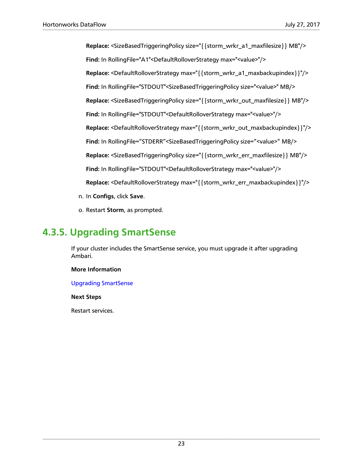**Replace:** <SizeBasedTriggeringPolicy size="{{storm\_wrkr\_a1\_maxfilesize}} MB"/> **Find:** In RollingFile="A1"<DefaultRolloverStrategy max="<value>"/> **Replace:** <DefaultRolloverStrategy max="{{storm\_wrkr\_a1\_maxbackupindex}}"/> **Find:** In RollingFile="STDOUT"<SizeBasedTriggeringPolicy size="<value>" MB/> **Replace:** <SizeBasedTriggeringPolicy size="{{storm\_wrkr\_out\_maxfilesize}} MB"/> **Find:** In RollingFile="STDOUT"<DefaultRolloverStrategy max="<value>"/> **Replace:** <DefaultRolloverStrategy max="{{storm\_wrkr\_out\_maxbackupindex}}"/> **Find:** In RollingFile="STDERR"<SizeBasedTriggeringPolicy size="<value>" MB/> **Replace:** <SizeBasedTriggeringPolicy size="{{storm\_wrkr\_err\_maxfilesize}} MB"/> **Find:** In RollingFile="STDOUT"<DefaultRolloverStrategy max="<value>"/> **Replace:** <DefaultRolloverStrategy max="{{storm\_wrkr\_err\_maxbackupindex}}"/> n. In **Configs**, click **Save**.

o. Restart **Storm**, as prompted.

### <span id="page-26-0"></span>**4.3.5. Upgrading SmartSense**

If your cluster includes the SmartSense service, you must upgrade it after upgrading Ambari.

#### **More Information**

[Upgrading SmartSense](https://docs.hortonworks.com/HDPDocuments/SS1/SmartSense-1.4.0/bk_installation/content/upgrade_scenarios.html)

**Next Steps**

Restart services.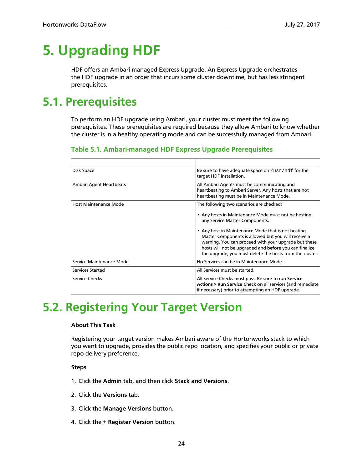# <span id="page-27-0"></span>**5. Upgrading HDF**

HDF offers an Ambari-managed Express Upgrade. An Express Upgrade orchestrates the HDF upgrade in an order that incurs some cluster downtime, but has less stringent prerequisites.

### <span id="page-27-1"></span>**5.1. Prerequisites**

To perform an HDF upgrade using Ambari, your cluster must meet the following prerequisites. These prerequisites are required because they allow Ambari to know whether the cluster is in a healthy operating mode and can be successfully managed from Ambari.

#### <span id="page-27-3"></span>**Table 5.1. Ambari-managed HDF Express Upgrade Prerequisites**

| Disk Space                   | Be sure to have adequate space on /usr/hdf for the<br>target HDF installation.                                                                                                                                                                                                          |
|------------------------------|-----------------------------------------------------------------------------------------------------------------------------------------------------------------------------------------------------------------------------------------------------------------------------------------|
| Ambari Agent Heartbeats      | All Ambari Agents must be communicating and<br>heartbeating to Ambari Server. Any hosts that are not<br>heartbeating must be in Maintenance Mode.                                                                                                                                       |
| <b>Host Maintenance Mode</b> | The following two scenarios are checked:                                                                                                                                                                                                                                                |
|                              | • Any hosts in Maintenance Mode must not be hosting<br>any Service Master Components.                                                                                                                                                                                                   |
|                              | • Any host in Maintenance Mode that is not hosting<br>Master Components is allowed but you will receive a<br>warning. You can proceed with your upgrade but these<br>hosts will not be upgraded and before you can finalize<br>the upgrade, you must delete the hosts from the cluster. |
| Service Maintenance Mode     | No Services can be in Maintenance Mode.                                                                                                                                                                                                                                                 |
| Services Started             | All Services must be started.                                                                                                                                                                                                                                                           |
| Service Checks               | All Service Checks must pass. Be sure to run Service<br>Actions > Run Service Check on all services (and remediate<br>if necessary) prior to attempting an HDF upgrade.                                                                                                                 |

### <span id="page-27-2"></span>**5.2. Registering Your Target Version**

#### **About This Task**

Registering your target version makes Ambari aware of the Hortonworks stack to which you want to upgrade, provides the public repo location, and specifies your public or private repo delivery preference.

#### **Steps**

- 1. Click the **Admin** tab, and then click **Stack and Versions**.
- 2. Click the **Versions** tab.
- 3. Click the **Manage Versions** button.
- 4. Click the **+ Register Version** button.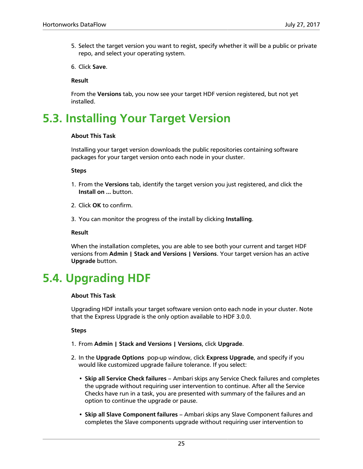- 5. Select the target version you want to regist, specify whether it will be a public or private repo, and select your operating system.
- 6. Click **Save**.

**Result**

From the **Versions** tab, you now see your target HDF version registered, but not yet installed.

### <span id="page-28-0"></span>**5.3. Installing Your Target Version**

#### **About This Task**

Installing your target version downloads the public repositories containing software packages for your target version onto each node in your cluster.

#### **Steps**

- 1. From the **Versions** tab, identify the target version you just registered, and click the **Install on ...** button.
- 2. Click **OK** to confirm.
- 3. You can monitor the progress of the install by clicking **Installing**.

#### **Result**

When the installation completes, you are able to see both your current and target HDF versions from **Admin | Stack and Versions | Versions**. Your target version has an active **Upgrade** button.

### <span id="page-28-1"></span>**5.4. Upgrading HDF**

#### **About This Task**

Upgrading HDF installs your target software version onto each node in your cluster. Note that the Express Upgrade is the only option available to HDF 3.0.0.

**Steps**

- 1. From **Admin | Stack and Versions | Versions**, click **Upgrade**.
- 2. In the **Upgrade Options** pop-up window, click **Express Upgrade**, and specify if you would like customized upgrade failure tolerance. If you select:
	- **Skip all Service Check failures** Ambari skips any Service Check failures and completes the upgrade without requiring user intervention to continue. After all the Service Checks have run in a task, you are presented with summary of the failures and an option to continue the upgrade or pause.
	- **Skip all Slave Component failures** Ambari skips any Slave Component failures and completes the Slave components upgrade without requiring user intervention to